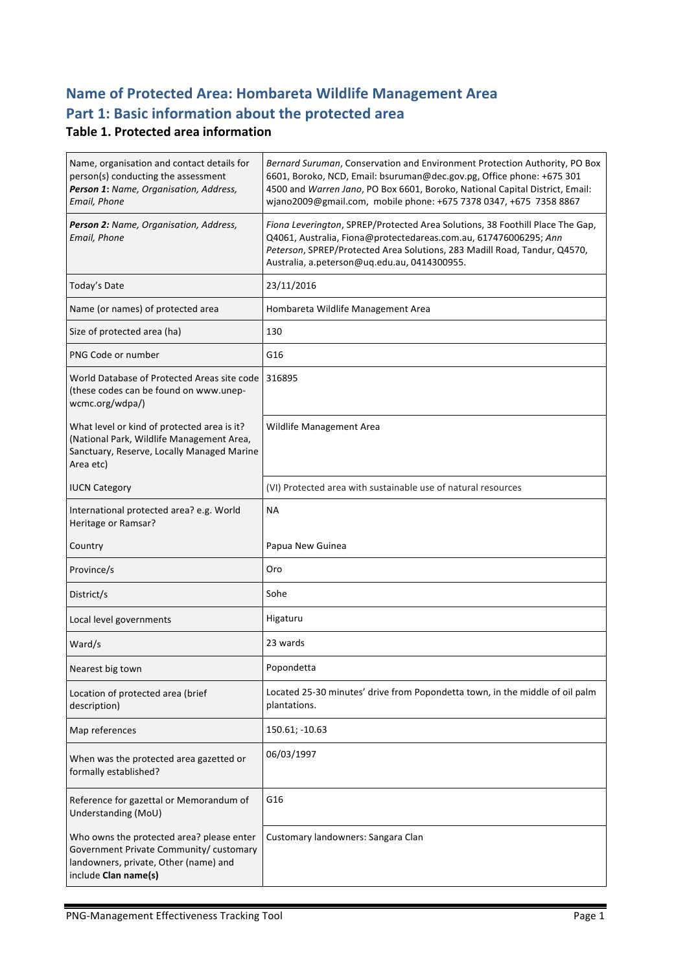# **Name of Protected Area: Hombareta Wildlife Management Area** Part 1: Basic information about the protected area

#### **Table 1. Protected area information**

| Name, organisation and contact details for<br>person(s) conducting the assessment<br>Person 1: Name, Organisation, Address,<br>Email, Phone           | Bernard Suruman, Conservation and Environment Protection Authority, PO Box<br>6601, Boroko, NCD, Email: bsuruman@dec.gov.pg, Office phone: +675 301<br>4500 and Warren Jano, PO Box 6601, Boroko, National Capital District, Email:<br>wjano2009@gmail.com, mobile phone: +675 7378 0347, +675 7358 8867 |
|-------------------------------------------------------------------------------------------------------------------------------------------------------|----------------------------------------------------------------------------------------------------------------------------------------------------------------------------------------------------------------------------------------------------------------------------------------------------------|
| Person 2: Name, Organisation, Address,<br>Email, Phone                                                                                                | Fiona Leverington, SPREP/Protected Area Solutions, 38 Foothill Place The Gap,<br>Q4061, Australia, Fiona@protectedareas.com.au, 617476006295; Ann<br>Peterson, SPREP/Protected Area Solutions, 283 Madill Road, Tandur, Q4570,<br>Australia, a.peterson@uq.edu.au, 0414300955.                           |
| Today's Date                                                                                                                                          | 23/11/2016                                                                                                                                                                                                                                                                                               |
| Name (or names) of protected area                                                                                                                     | Hombareta Wildlife Management Area                                                                                                                                                                                                                                                                       |
| Size of protected area (ha)                                                                                                                           | 130                                                                                                                                                                                                                                                                                                      |
| PNG Code or number                                                                                                                                    | G16                                                                                                                                                                                                                                                                                                      |
| World Database of Protected Areas site code<br>(these codes can be found on www.unep-<br>wcmc.org/wdpa/)                                              | 316895                                                                                                                                                                                                                                                                                                   |
| What level or kind of protected area is it?<br>(National Park, Wildlife Management Area,<br>Sanctuary, Reserve, Locally Managed Marine<br>Area etc)   | Wildlife Management Area                                                                                                                                                                                                                                                                                 |
| <b>IUCN Category</b>                                                                                                                                  | (VI) Protected area with sustainable use of natural resources                                                                                                                                                                                                                                            |
| International protected area? e.g. World<br>Heritage or Ramsar?                                                                                       | <b>NA</b>                                                                                                                                                                                                                                                                                                |
| Country                                                                                                                                               | Papua New Guinea                                                                                                                                                                                                                                                                                         |
| Province/s                                                                                                                                            | Oro                                                                                                                                                                                                                                                                                                      |
| District/s                                                                                                                                            | Sohe                                                                                                                                                                                                                                                                                                     |
| Local level governments                                                                                                                               | Higaturu                                                                                                                                                                                                                                                                                                 |
| Ward/s                                                                                                                                                | 23 wards                                                                                                                                                                                                                                                                                                 |
| Nearest big town                                                                                                                                      | Popondetta                                                                                                                                                                                                                                                                                               |
| Location of protected area (brief<br>description)                                                                                                     | Located 25-30 minutes' drive from Popondetta town, in the middle of oil palm<br>plantations.                                                                                                                                                                                                             |
| Map references                                                                                                                                        | 150.61; -10.63                                                                                                                                                                                                                                                                                           |
| When was the protected area gazetted or<br>formally established?                                                                                      | 06/03/1997                                                                                                                                                                                                                                                                                               |
| Reference for gazettal or Memorandum of<br>Understanding (MoU)                                                                                        | G16                                                                                                                                                                                                                                                                                                      |
| Who owns the protected area? please enter<br>Government Private Community/ customary<br>landowners, private, Other (name) and<br>include Clan name(s) | Customary landowners: Sangara Clan                                                                                                                                                                                                                                                                       |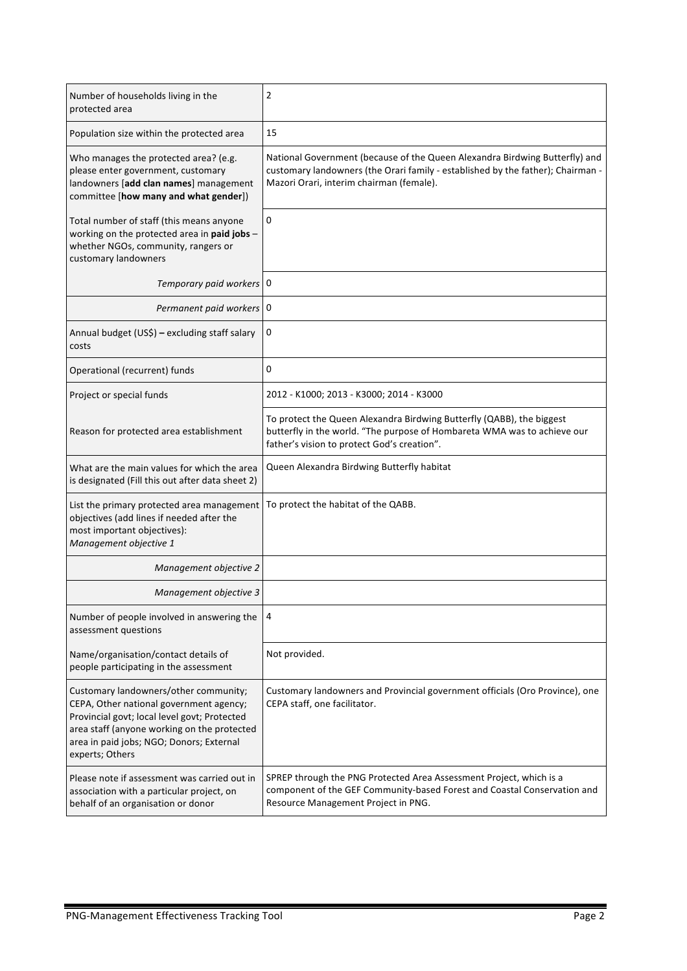| Number of households living in the<br>protected area                                                                                                                                                                                           | 2                                                                                                                                                                                                          |
|------------------------------------------------------------------------------------------------------------------------------------------------------------------------------------------------------------------------------------------------|------------------------------------------------------------------------------------------------------------------------------------------------------------------------------------------------------------|
| Population size within the protected area                                                                                                                                                                                                      | 15                                                                                                                                                                                                         |
| Who manages the protected area? (e.g.<br>please enter government, customary<br>landowners [add clan names] management<br>committee [how many and what gender])                                                                                 | National Government (because of the Queen Alexandra Birdwing Butterfly) and<br>customary landowners (the Orari family - established by the father); Chairman -<br>Mazori Orari, interim chairman (female). |
| Total number of staff (this means anyone<br>working on the protected area in paid jobs -<br>whether NGOs, community, rangers or<br>customary landowners                                                                                        | 0                                                                                                                                                                                                          |
| Temporary paid workers   0                                                                                                                                                                                                                     |                                                                                                                                                                                                            |
| Permanent paid workers   0                                                                                                                                                                                                                     |                                                                                                                                                                                                            |
| Annual budget (US\$) - excluding staff salary<br>costs                                                                                                                                                                                         | 0                                                                                                                                                                                                          |
| Operational (recurrent) funds                                                                                                                                                                                                                  | 0                                                                                                                                                                                                          |
| Project or special funds                                                                                                                                                                                                                       | 2012 - K1000; 2013 - K3000; 2014 - K3000                                                                                                                                                                   |
| Reason for protected area establishment                                                                                                                                                                                                        | To protect the Queen Alexandra Birdwing Butterfly (QABB), the biggest<br>butterfly in the world. "The purpose of Hombareta WMA was to achieve our<br>father's vision to protect God's creation".           |
| What are the main values for which the area<br>is designated (Fill this out after data sheet 2)                                                                                                                                                | Queen Alexandra Birdwing Butterfly habitat                                                                                                                                                                 |
| List the primary protected area management<br>objectives (add lines if needed after the<br>most important objectives):<br>Management objective 1                                                                                               | To protect the habitat of the QABB.                                                                                                                                                                        |
| Management objective 2                                                                                                                                                                                                                         |                                                                                                                                                                                                            |
| Management objective 3                                                                                                                                                                                                                         |                                                                                                                                                                                                            |
| Number of people involved in answering the<br>assessment questions                                                                                                                                                                             | 4                                                                                                                                                                                                          |
| Name/organisation/contact details of<br>people participating in the assessment                                                                                                                                                                 | Not provided.                                                                                                                                                                                              |
| Customary landowners/other community;<br>CEPA, Other national government agency;<br>Provincial govt; local level govt; Protected<br>area staff (anyone working on the protected<br>area in paid jobs; NGO; Donors; External<br>experts; Others | Customary landowners and Provincial government officials (Oro Province), one<br>CEPA staff, one facilitator.                                                                                               |
| Please note if assessment was carried out in<br>association with a particular project, on<br>behalf of an organisation or donor                                                                                                                | SPREP through the PNG Protected Area Assessment Project, which is a<br>component of the GEF Community-based Forest and Coastal Conservation and<br>Resource Management Project in PNG.                     |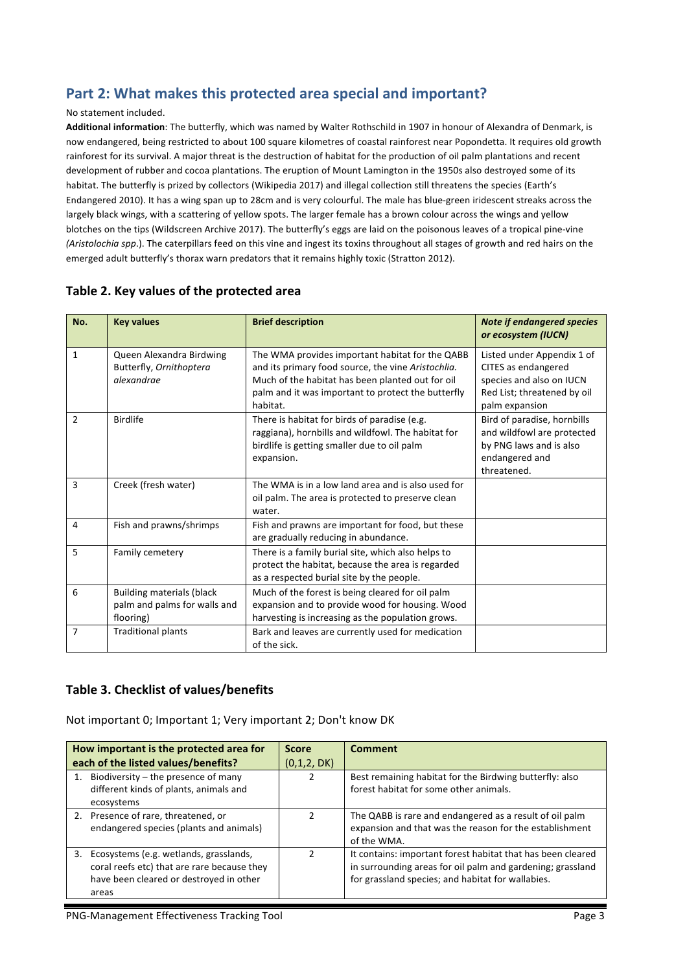### Part 2: What makes this protected area special and important?

#### No statement included.

Additional information: The butterfly, which was named by Walter Rothschild in 1907 in honour of Alexandra of Denmark, is now endangered, being restricted to about 100 square kilometres of coastal rainforest near Popondetta. It requires old growth rainforest for its survival. A major threat is the destruction of habitat for the production of oil palm plantations and recent development of rubber and cocoa plantations. The eruption of Mount Lamington in the 1950s also destroyed some of its habitat. The butterfly is prized by collectors (Wikipedia 2017) and illegal collection still threatens the species (Earth's Endangered 2010). It has a wing span up to 28cm and is very colourful. The male has blue-green iridescent streaks across the largely black wings, with a scattering of yellow spots. The larger female has a brown colour across the wings and yellow blotches on the tips (Wildscreen Archive 2017). The butterfly's eggs are laid on the poisonous leaves of a tropical pine-vine *(Aristolochia spp.)*. The caterpillars feed on this vine and ingest its toxins throughout all stages of growth and red hairs on the emerged adult butterfly's thorax warn predators that it remains highly toxic (Stratton 2012).

| No.            | <b>Key values</b>                                                             | <b>Brief description</b>                                                                                                                                                                                                    | <b>Note if endangered species</b><br>or ecosystem (IUCN)                                                                       |
|----------------|-------------------------------------------------------------------------------|-----------------------------------------------------------------------------------------------------------------------------------------------------------------------------------------------------------------------------|--------------------------------------------------------------------------------------------------------------------------------|
| 1              | Queen Alexandra Birdwing<br>Butterfly, Ornithoptera<br>alexandrae             | The WMA provides important habitat for the QABB<br>and its primary food source, the vine Aristochlia.<br>Much of the habitat has been planted out for oil<br>palm and it was important to protect the butterfly<br>habitat. | Listed under Appendix 1 of<br>CITES as endangered<br>species and also on IUCN<br>Red List; threatened by oil<br>palm expansion |
| $\overline{2}$ | <b>Birdlife</b>                                                               | There is habitat for birds of paradise (e.g.<br>raggiana), hornbills and wildfowl. The habitat for<br>birdlife is getting smaller due to oil palm<br>expansion.                                                             | Bird of paradise, hornbills<br>and wildfowl are protected<br>by PNG laws and is also<br>endangered and<br>threatened.          |
| 3              | Creek (fresh water)                                                           | The WMA is in a low land area and is also used for<br>oil palm. The area is protected to preserve clean<br>water.                                                                                                           |                                                                                                                                |
| 4              | Fish and prawns/shrimps                                                       | Fish and prawns are important for food, but these<br>are gradually reducing in abundance.                                                                                                                                   |                                                                                                                                |
| 5              | Family cemetery                                                               | There is a family burial site, which also helps to<br>protect the habitat, because the area is regarded<br>as a respected burial site by the people.                                                                        |                                                                                                                                |
| 6              | <b>Building materials (black</b><br>palm and palms for walls and<br>flooring) | Much of the forest is being cleared for oil palm<br>expansion and to provide wood for housing. Wood<br>harvesting is increasing as the population grows.                                                                    |                                                                                                                                |
| $\overline{7}$ | <b>Traditional plants</b>                                                     | Bark and leaves are currently used for medication<br>of the sick.                                                                                                                                                           |                                                                                                                                |

#### Table 2. Key values of the protected area

#### **Table 3. Checklist of values/benefits**

Not important 0; Important 1; Very important 2; Don't know DK

| How important is the protected area for                                                                                                      | <b>Score</b> | <b>Comment</b>                                                                                                                                                                 |
|----------------------------------------------------------------------------------------------------------------------------------------------|--------------|--------------------------------------------------------------------------------------------------------------------------------------------------------------------------------|
| each of the listed values/benefits?                                                                                                          | (0,1,2, DK)  |                                                                                                                                                                                |
| Biodiversity – the presence of many<br>different kinds of plants, animals and<br>ecosystems                                                  |              | Best remaining habitat for the Birdwing butterfly: also<br>forest habitat for some other animals.                                                                              |
| 2. Presence of rare, threatened, or<br>endangered species (plants and animals)                                                               |              | The QABB is rare and endangered as a result of oil palm<br>expansion and that was the reason for the establishment<br>of the WMA.                                              |
| 3. Ecosystems (e.g. wetlands, grasslands,<br>coral reefs etc) that are rare because they<br>have been cleared or destroyed in other<br>areas |              | It contains: important forest habitat that has been cleared<br>in surrounding areas for oil palm and gardening; grassland<br>for grassland species; and habitat for wallabies. |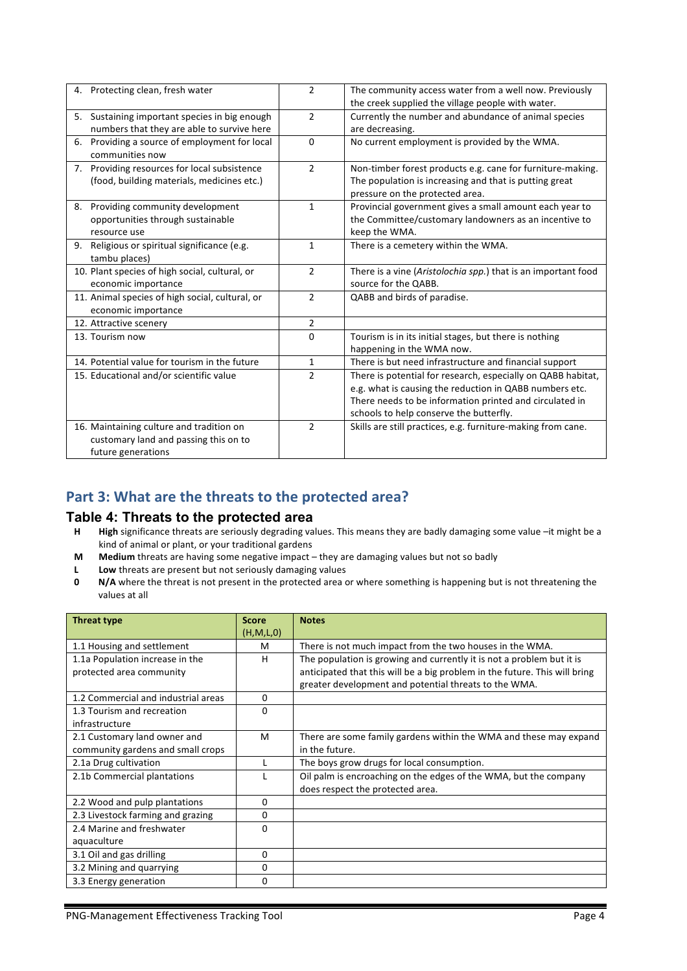| 4. Protecting clean, fresh water                                                                        | $\overline{2}$ | The community access water from a well now. Previously<br>the creek supplied the village people with water.                                                                                                                   |
|---------------------------------------------------------------------------------------------------------|----------------|-------------------------------------------------------------------------------------------------------------------------------------------------------------------------------------------------------------------------------|
| 5. Sustaining important species in big enough<br>numbers that they are able to survive here             | $\overline{2}$ | Currently the number and abundance of animal species<br>are decreasing.                                                                                                                                                       |
| Providing a source of employment for local<br>6.<br>communities now                                     | 0              | No current employment is provided by the WMA.                                                                                                                                                                                 |
| 7. Providing resources for local subsistence<br>(food, building materials, medicines etc.)              | $\overline{2}$ | Non-timber forest products e.g. cane for furniture-making.<br>The population is increasing and that is putting great<br>pressure on the protected area.                                                                       |
| 8. Providing community development<br>opportunities through sustainable<br>resource use                 | $\mathbf{1}$   | Provincial government gives a small amount each year to<br>the Committee/customary landowners as an incentive to<br>keep the WMA.                                                                                             |
| Religious or spiritual significance (e.g.<br>9.<br>tambu places)                                        | 1              | There is a cemetery within the WMA.                                                                                                                                                                                           |
| 10. Plant species of high social, cultural, or<br>economic importance                                   | $\overline{2}$ | There is a vine (Aristolochia spp.) that is an important food<br>source for the QABB.                                                                                                                                         |
| 11. Animal species of high social, cultural, or<br>economic importance                                  | $\overline{2}$ | QABB and birds of paradise.                                                                                                                                                                                                   |
| 12. Attractive scenery                                                                                  | $\overline{2}$ |                                                                                                                                                                                                                               |
| 13. Tourism now                                                                                         | 0              | Tourism is in its initial stages, but there is nothing<br>happening in the WMA now.                                                                                                                                           |
| 14. Potential value for tourism in the future                                                           | 1              | There is but need infrastructure and financial support                                                                                                                                                                        |
| 15. Educational and/or scientific value                                                                 | $\overline{2}$ | There is potential for research, especially on QABB habitat,<br>e.g. what is causing the reduction in QABB numbers etc.<br>There needs to be information printed and circulated in<br>schools to help conserve the butterfly. |
| 16. Maintaining culture and tradition on<br>customary land and passing this on to<br>future generations | $\overline{2}$ | Skills are still practices, e.g. furniture-making from cane.                                                                                                                                                                  |

#### Part 3: What are the threats to the protected area?

# **Table 4: Threats to the protected area**<br>**H** High significance threats are seriously degrading va

- High significance threats are seriously degrading values. This means they are badly damaging some value -it might be a kind of animal or plant, or your traditional gardens
- **M** Medium threats are having some negative impact they are damaging values but not so badly
- **L** Low threats are present but not seriously damaging values
- **0 N/A** where the threat is not present in the protected area or where something is happening but is not threatening the values at all

| Threat type                         | <b>Score</b> | <b>Notes</b>                                                               |
|-------------------------------------|--------------|----------------------------------------------------------------------------|
|                                     | (H,M,L,0)    |                                                                            |
| 1.1 Housing and settlement          | M            | There is not much impact from the two houses in the WMA.                   |
| 1.1a Population increase in the     | н            | The population is growing and currently it is not a problem but it is      |
| protected area community            |              | anticipated that this will be a big problem in the future. This will bring |
|                                     |              | greater development and potential threats to the WMA.                      |
| 1.2 Commercial and industrial areas | 0            |                                                                            |
| 1.3 Tourism and recreation          | 0            |                                                                            |
| infrastructure                      |              |                                                                            |
| 2.1 Customary land owner and        | M            | There are some family gardens within the WMA and these may expand          |
| community gardens and small crops   |              | in the future.                                                             |
| 2.1a Drug cultivation               |              | The boys grow drugs for local consumption.                                 |
| 2.1b Commercial plantations         |              | Oil palm is encroaching on the edges of the WMA, but the company           |
|                                     |              | does respect the protected area.                                           |
| 2.2 Wood and pulp plantations       | $\Omega$     |                                                                            |
| 2.3 Livestock farming and grazing   | 0            |                                                                            |
| 2.4 Marine and freshwater           | $\Omega$     |                                                                            |
| aquaculture                         |              |                                                                            |
| 3.1 Oil and gas drilling            | 0            |                                                                            |
| 3.2 Mining and quarrying            | 0            |                                                                            |
| 3.3 Energy generation               | 0            |                                                                            |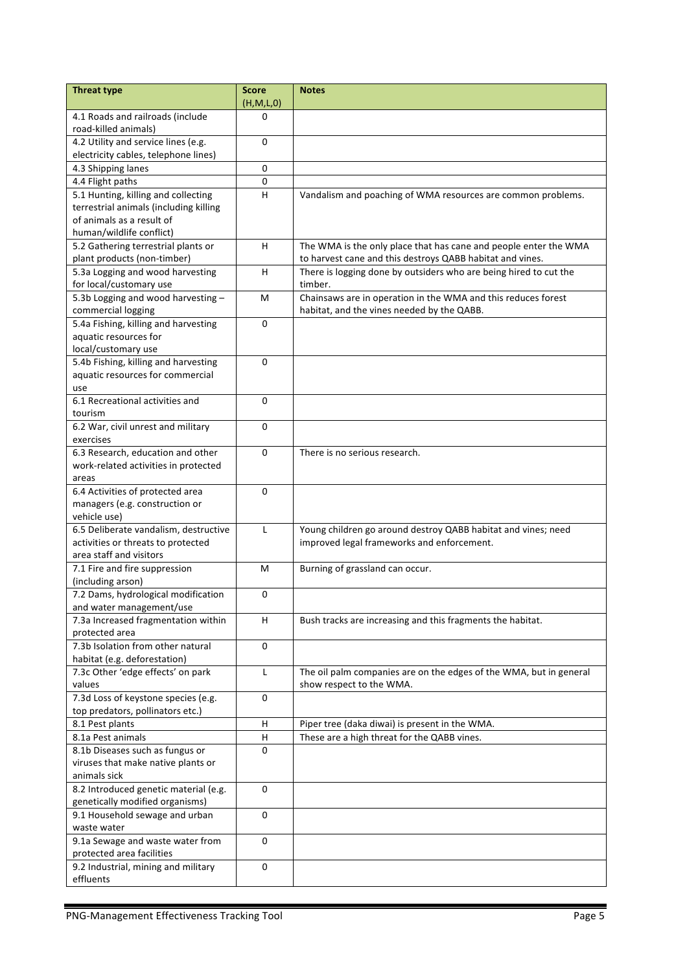| <b>Threat type</b>                                                            | <b>Score</b> | <b>Notes</b>                                                                                  |
|-------------------------------------------------------------------------------|--------------|-----------------------------------------------------------------------------------------------|
|                                                                               | (H, M, L, 0) |                                                                                               |
| 4.1 Roads and railroads (include                                              | 0            |                                                                                               |
| road-killed animals)                                                          |              |                                                                                               |
| 4.2 Utility and service lines (e.g.                                           | $\Omega$     |                                                                                               |
| electricity cables, telephone lines)                                          |              |                                                                                               |
| 4.3 Shipping lanes                                                            | 0            |                                                                                               |
| 4.4 Flight paths                                                              | $\mathbf 0$  |                                                                                               |
| 5.1 Hunting, killing and collecting<br>terrestrial animals (including killing | H            | Vandalism and poaching of WMA resources are common problems.                                  |
| of animals as a result of                                                     |              |                                                                                               |
| human/wildlife conflict)                                                      |              |                                                                                               |
| 5.2 Gathering terrestrial plants or                                           | H            | The WMA is the only place that has cane and people enter the WMA                              |
| plant products (non-timber)                                                   |              | to harvest cane and this destroys QABB habitat and vines.                                     |
| 5.3a Logging and wood harvesting                                              | H            | There is logging done by outsiders who are being hired to cut the                             |
| for local/customary use                                                       |              | timber.                                                                                       |
| 5.3b Logging and wood harvesting -                                            | м            | Chainsaws are in operation in the WMA and this reduces forest                                 |
| commercial logging                                                            |              | habitat, and the vines needed by the QABB.                                                    |
| 5.4a Fishing, killing and harvesting                                          | 0            |                                                                                               |
| aquatic resources for                                                         |              |                                                                                               |
| local/customary use                                                           |              |                                                                                               |
| 5.4b Fishing, killing and harvesting                                          | 0            |                                                                                               |
| aquatic resources for commercial                                              |              |                                                                                               |
| use                                                                           |              |                                                                                               |
| 6.1 Recreational activities and                                               | 0            |                                                                                               |
| tourism                                                                       |              |                                                                                               |
| 6.2 War, civil unrest and military                                            | $\Omega$     |                                                                                               |
| exercises                                                                     |              |                                                                                               |
| 6.3 Research, education and other                                             | 0            | There is no serious research.                                                                 |
| work-related activities in protected<br>areas                                 |              |                                                                                               |
| 6.4 Activities of protected area                                              | $\mathbf 0$  |                                                                                               |
| managers (e.g. construction or                                                |              |                                                                                               |
| vehicle use)                                                                  |              |                                                                                               |
| 6.5 Deliberate vandalism, destructive                                         | $\mathsf{L}$ | Young children go around destroy QABB habitat and vines; need                                 |
| activities or threats to protected                                            |              | improved legal frameworks and enforcement.                                                    |
| area staff and visitors                                                       |              |                                                                                               |
| 7.1 Fire and fire suppression                                                 | M            | Burning of grassland can occur.                                                               |
| (including arson)                                                             |              |                                                                                               |
| 7.2 Dams, hydrological modification                                           | 0            |                                                                                               |
| and water management/use                                                      |              |                                                                                               |
| 7.3a Increased fragmentation within                                           | H            | Bush tracks are increasing and this fragments the habitat.                                    |
| protected area                                                                |              |                                                                                               |
| 7.3b Isolation from other natural                                             | $\mathbf 0$  |                                                                                               |
| habitat (e.g. deforestation)                                                  |              |                                                                                               |
| 7.3c Other 'edge effects' on park                                             | L            | The oil palm companies are on the edges of the WMA, but in general                            |
| values                                                                        |              | show respect to the WMA.                                                                      |
| 7.3d Loss of keystone species (e.g.                                           | 0            |                                                                                               |
| top predators, pollinators etc.)                                              |              |                                                                                               |
| 8.1 Pest plants<br>8.1a Pest animals                                          | H<br>H       | Piper tree (daka diwai) is present in the WMA.<br>These are a high threat for the QABB vines. |
| 8.1b Diseases such as fungus or                                               | $\mathbf 0$  |                                                                                               |
| viruses that make native plants or                                            |              |                                                                                               |
| animals sick                                                                  |              |                                                                                               |
| 8.2 Introduced genetic material (e.g.                                         | 0            |                                                                                               |
| genetically modified organisms)                                               |              |                                                                                               |
| 9.1 Household sewage and urban                                                | 0            |                                                                                               |
| waste water                                                                   |              |                                                                                               |
| 9.1a Sewage and waste water from                                              | 0            |                                                                                               |
| protected area facilities                                                     |              |                                                                                               |
| 9.2 Industrial, mining and military                                           | 0            |                                                                                               |
| effluents                                                                     |              |                                                                                               |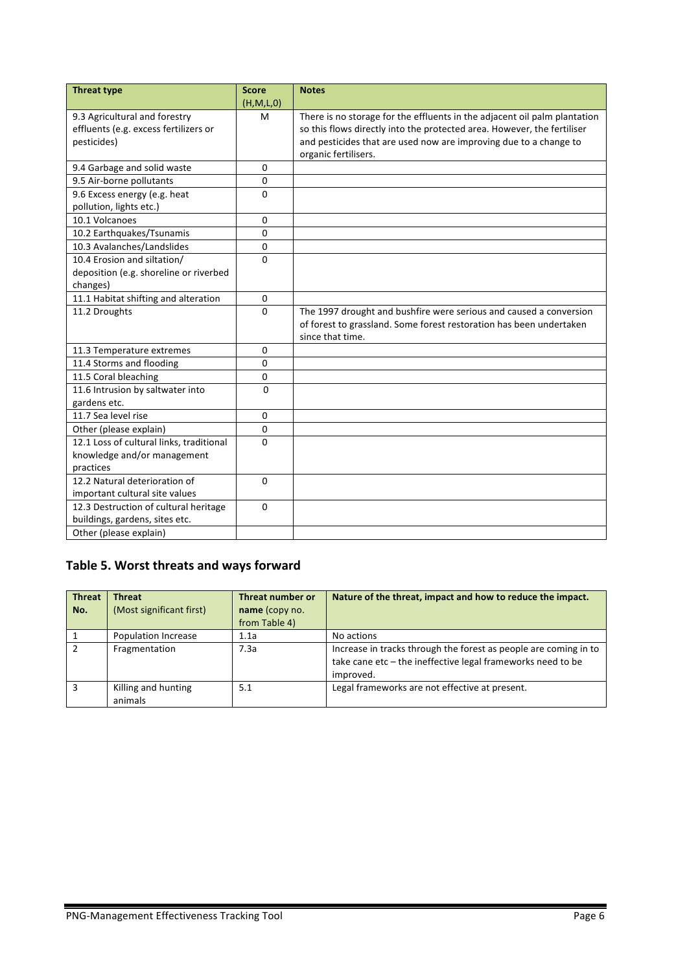| <b>Threat type</b>                       | <b>Score</b> | <b>Notes</b>                                                              |
|------------------------------------------|--------------|---------------------------------------------------------------------------|
|                                          | (H,M,L,0)    |                                                                           |
| 9.3 Agricultural and forestry            | м            | There is no storage for the effluents in the adjacent oil palm plantation |
| effluents (e.g. excess fertilizers or    |              | so this flows directly into the protected area. However, the fertiliser   |
| pesticides)                              |              | and pesticides that are used now are improving due to a change to         |
|                                          |              | organic fertilisers.                                                      |
| 9.4 Garbage and solid waste              | 0            |                                                                           |
| 9.5 Air-borne pollutants                 | $\mathbf 0$  |                                                                           |
| 9.6 Excess energy (e.g. heat             | $\Omega$     |                                                                           |
| pollution, lights etc.)                  |              |                                                                           |
| 10.1 Volcanoes                           | $\mathbf 0$  |                                                                           |
| 10.2 Earthquakes/Tsunamis                | $\mathbf{0}$ |                                                                           |
| 10.3 Avalanches/Landslides               | $\Omega$     |                                                                           |
| 10.4 Erosion and siltation/              | $\Omega$     |                                                                           |
| deposition (e.g. shoreline or riverbed   |              |                                                                           |
| changes)                                 |              |                                                                           |
| 11.1 Habitat shifting and alteration     | $\mathbf 0$  |                                                                           |
| 11.2 Droughts                            | $\Omega$     | The 1997 drought and bushfire were serious and caused a conversion        |
|                                          |              | of forest to grassland. Some forest restoration has been undertaken       |
|                                          |              | since that time.                                                          |
| 11.3 Temperature extremes                | $\mathbf{0}$ |                                                                           |
| 11.4 Storms and flooding                 | $\Omega$     |                                                                           |
| 11.5 Coral bleaching                     | $\mathbf{0}$ |                                                                           |
| 11.6 Intrusion by saltwater into         | $\Omega$     |                                                                           |
| gardens etc.                             |              |                                                                           |
| 11.7 Sea level rise                      | $\mathbf{0}$ |                                                                           |
| Other (please explain)                   | $\mathbf{0}$ |                                                                           |
| 12.1 Loss of cultural links, traditional | $\Omega$     |                                                                           |
| knowledge and/or management              |              |                                                                           |
| practices                                |              |                                                                           |
| 12.2 Natural deterioration of            | $\Omega$     |                                                                           |
| important cultural site values           |              |                                                                           |
| 12.3 Destruction of cultural heritage    | $\Omega$     |                                                                           |
| buildings, gardens, sites etc.           |              |                                                                           |
| Other (please explain)                   |              |                                                                           |

### Table 5. Worst threats and ways forward

| <b>Threat</b><br>No. | <b>Threat</b><br>(Most significant first) | <b>Threat number or</b><br>name (copy no.<br>from Table 4) | Nature of the threat, impact and how to reduce the impact.                                                                                   |
|----------------------|-------------------------------------------|------------------------------------------------------------|----------------------------------------------------------------------------------------------------------------------------------------------|
|                      | Population Increase                       | 1.1a                                                       | No actions                                                                                                                                   |
|                      | Fragmentation                             | 7.3a                                                       | Increase in tracks through the forest as people are coming in to<br>take cane etc - the ineffective legal frameworks need to be<br>improved. |
| 2                    | Killing and hunting<br>animals            | 5.1                                                        | Legal frameworks are not effective at present.                                                                                               |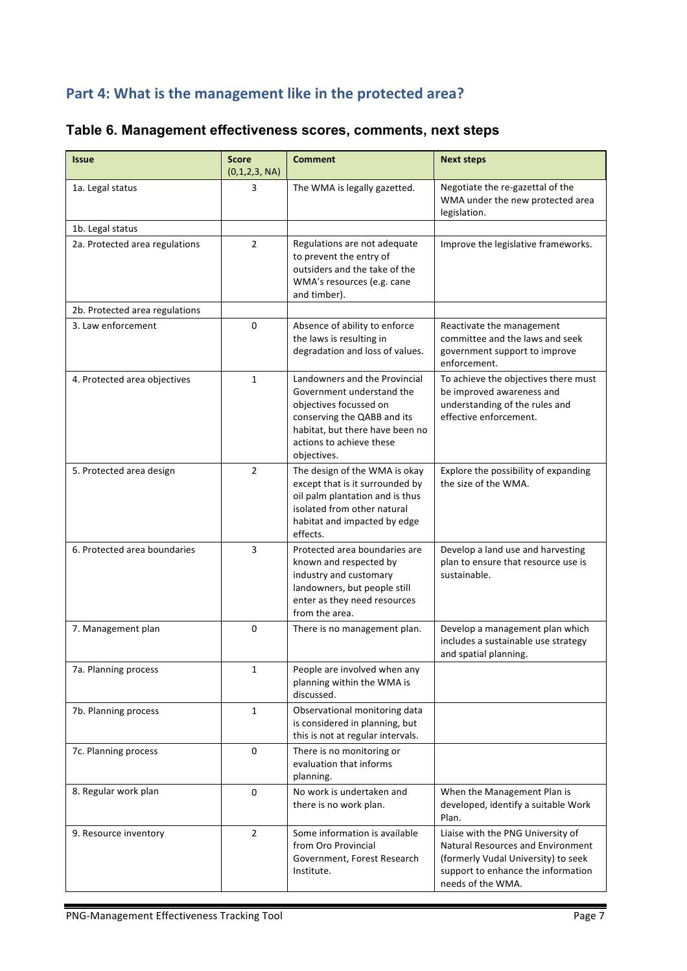## Part 4: What is the management like in the protected area?

| <b>Issue</b>                   | <b>Score</b><br>(0,1,2,3, NA) | <b>Comment</b>                                                                                                                                                                                    | <b>Next steps</b>                                                                                                                                                               |
|--------------------------------|-------------------------------|---------------------------------------------------------------------------------------------------------------------------------------------------------------------------------------------------|---------------------------------------------------------------------------------------------------------------------------------------------------------------------------------|
| 1a. Legal status               | 3                             | The WMA is legally gazetted.                                                                                                                                                                      | Negotiate the re-gazettal of the<br>WMA under the new protected area<br>legislation.                                                                                            |
| 1b. Legal status               |                               |                                                                                                                                                                                                   |                                                                                                                                                                                 |
| 2a. Protected area regulations | $\overline{2}$                | Regulations are not adequate<br>to prevent the entry of<br>outsiders and the take of the<br>WMA's resources (e.g. cane<br>and timber).                                                            | Improve the legislative frameworks.                                                                                                                                             |
| 2b. Protected area regulations |                               |                                                                                                                                                                                                   |                                                                                                                                                                                 |
| 3. Law enforcement             | 0                             | Absence of ability to enforce<br>the laws is resulting in<br>degradation and loss of values.                                                                                                      | Reactivate the management<br>committee and the laws and seek<br>government support to improve<br>enforcement.                                                                   |
| 4. Protected area objectives   | $\mathbf{1}$                  | Landowners and the Provincial<br>Government understand the<br>objectives focussed on<br>conserving the QABB and its<br>habitat, but there have been no<br>actions to achieve these<br>objectives. | To achieve the objectives there must<br>be improved awareness and<br>understanding of the rules and<br>effective enforcement.                                                   |
| 5. Protected area design       | $\overline{2}$                | The design of the WMA is okay<br>except that is it surrounded by<br>oil palm plantation and is thus<br>isolated from other natural<br>habitat and impacted by edge<br>effects.                    | Explore the possibility of expanding<br>the size of the WMA.                                                                                                                    |
| 6. Protected area boundaries   | 3                             | Protected area boundaries are<br>known and respected by<br>industry and customary<br>landowners, but people still<br>enter as they need resources<br>from the area.                               | Develop a land use and harvesting<br>plan to ensure that resource use is<br>sustainable.                                                                                        |
| 7. Management plan             | 0                             | There is no management plan.                                                                                                                                                                      | Develop a management plan which<br>includes a sustainable use strategy<br>and spatial planning.                                                                                 |
| 7a. Planning process           | 1                             | People are involved when any<br>planning within the WMA is<br>discussed.                                                                                                                          |                                                                                                                                                                                 |
| 7b. Planning process           | 1                             | Observational monitoring data<br>is considered in planning, but<br>this is not at regular intervals.                                                                                              |                                                                                                                                                                                 |
| 7c. Planning process           | 0                             | There is no monitoring or<br>evaluation that informs<br>planning.                                                                                                                                 |                                                                                                                                                                                 |
| 8. Regular work plan           | 0                             | No work is undertaken and<br>there is no work plan.                                                                                                                                               | When the Management Plan is<br>developed, identify a suitable Work<br>Plan.                                                                                                     |
| 9. Resource inventory          | $\overline{2}$                | Some information is available<br>from Oro Provincial<br>Government, Forest Research<br>Institute.                                                                                                 | Liaise with the PNG University of<br><b>Natural Resources and Environment</b><br>(formerly Vudal University) to seek<br>support to enhance the information<br>needs of the WMA. |

### **Table 6. Management effectiveness scores, comments, next steps**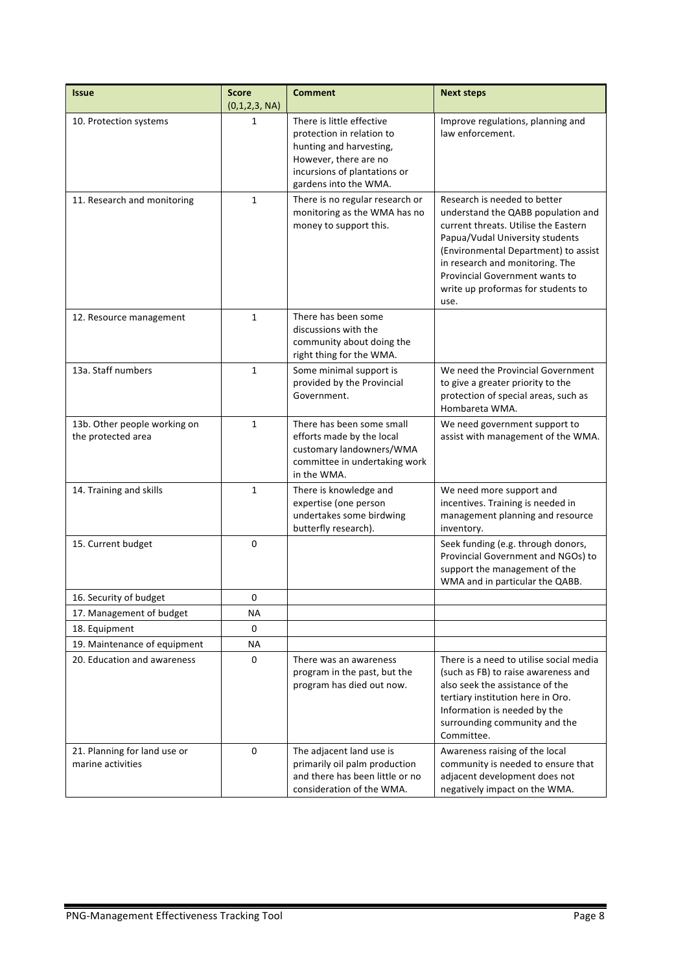| <b>Issue</b>                                       | <b>Score</b><br>(0,1,2,3, NA) | <b>Comment</b>                                                                                                                                                      | <b>Next steps</b>                                                                                                                                                                                                                                                                                               |
|----------------------------------------------------|-------------------------------|---------------------------------------------------------------------------------------------------------------------------------------------------------------------|-----------------------------------------------------------------------------------------------------------------------------------------------------------------------------------------------------------------------------------------------------------------------------------------------------------------|
| 10. Protection systems                             | 1                             | There is little effective<br>protection in relation to<br>hunting and harvesting,<br>However, there are no<br>incursions of plantations or<br>gardens into the WMA. | Improve regulations, planning and<br>law enforcement.                                                                                                                                                                                                                                                           |
| 11. Research and monitoring                        | 1                             | There is no regular research or<br>monitoring as the WMA has no<br>money to support this.                                                                           | Research is needed to better<br>understand the QABB population and<br>current threats. Utilise the Eastern<br>Papua/Vudal University students<br>(Environmental Department) to assist<br>in research and monitoring. The<br><b>Provincial Government wants to</b><br>write up proformas for students to<br>use. |
| 12. Resource management                            | $\mathbf{1}$                  | There has been some<br>discussions with the<br>community about doing the<br>right thing for the WMA.                                                                |                                                                                                                                                                                                                                                                                                                 |
| 13a. Staff numbers                                 | $\mathbf{1}$                  | Some minimal support is<br>provided by the Provincial<br>Government.                                                                                                | We need the Provincial Government<br>to give a greater priority to the<br>protection of special areas, such as<br>Hombareta WMA.                                                                                                                                                                                |
| 13b. Other people working on<br>the protected area | $\mathbf{1}$                  | There has been some small<br>efforts made by the local<br>customary landowners/WMA<br>committee in undertaking work<br>in the WMA.                                  | We need government support to<br>assist with management of the WMA.                                                                                                                                                                                                                                             |
| 14. Training and skills                            | $\mathbf{1}$                  | There is knowledge and<br>expertise (one person<br>undertakes some birdwing<br>butterfly research).                                                                 | We need more support and<br>incentives. Training is needed in<br>management planning and resource<br>inventory.                                                                                                                                                                                                 |
| 15. Current budget                                 | 0                             |                                                                                                                                                                     | Seek funding (e.g. through donors,<br>Provincial Government and NGOs) to<br>support the management of the<br>WMA and in particular the QABB.                                                                                                                                                                    |
| 16. Security of budget                             | 0                             |                                                                                                                                                                     |                                                                                                                                                                                                                                                                                                                 |
| 17. Management of budget                           | ΝA                            |                                                                                                                                                                     |                                                                                                                                                                                                                                                                                                                 |
| 18. Equipment                                      | 0                             |                                                                                                                                                                     |                                                                                                                                                                                                                                                                                                                 |
| 19. Maintenance of equipment                       | ΝA                            |                                                                                                                                                                     |                                                                                                                                                                                                                                                                                                                 |
| 20. Education and awareness                        | 0                             | There was an awareness<br>program in the past, but the<br>program has died out now.                                                                                 | There is a need to utilise social media<br>(such as FB) to raise awareness and<br>also seek the assistance of the<br>tertiary institution here in Oro.<br>Information is needed by the<br>surrounding community and the<br>Committee.                                                                           |
| 21. Planning for land use or<br>marine activities  | 0                             | The adjacent land use is<br>primarily oil palm production<br>and there has been little or no<br>consideration of the WMA.                                           | Awareness raising of the local<br>community is needed to ensure that<br>adjacent development does not<br>negatively impact on the WMA.                                                                                                                                                                          |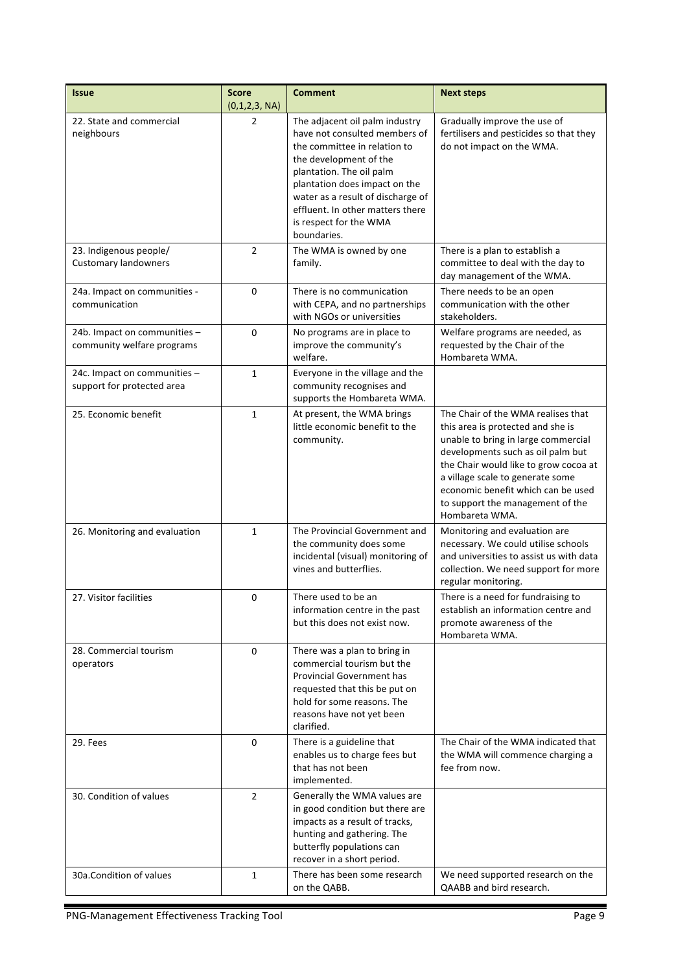| <b>Issue</b>                                               | <b>Score</b><br>(0,1,2,3, NA) | <b>Comment</b>                                                                                                                                                                                                                                                                                           | <b>Next steps</b>                                                                                                                                                                                                                                                                                                            |
|------------------------------------------------------------|-------------------------------|----------------------------------------------------------------------------------------------------------------------------------------------------------------------------------------------------------------------------------------------------------------------------------------------------------|------------------------------------------------------------------------------------------------------------------------------------------------------------------------------------------------------------------------------------------------------------------------------------------------------------------------------|
| 22. State and commercial<br>neighbours                     | 2                             | The adjacent oil palm industry<br>have not consulted members of<br>the committee in relation to<br>the development of the<br>plantation. The oil palm<br>plantation does impact on the<br>water as a result of discharge of<br>effluent. In other matters there<br>is respect for the WMA<br>boundaries. | Gradually improve the use of<br>fertilisers and pesticides so that they<br>do not impact on the WMA.                                                                                                                                                                                                                         |
| 23. Indigenous people/<br><b>Customary landowners</b>      | $\overline{2}$                | The WMA is owned by one<br>family.                                                                                                                                                                                                                                                                       | There is a plan to establish a<br>committee to deal with the day to<br>day management of the WMA.                                                                                                                                                                                                                            |
| 24a. Impact on communities -<br>communication              | 0                             | There is no communication<br>with CEPA, and no partnerships<br>with NGOs or universities                                                                                                                                                                                                                 | There needs to be an open<br>communication with the other<br>stakeholders.                                                                                                                                                                                                                                                   |
| 24b. Impact on communities -<br>community welfare programs | $\mathbf 0$                   | No programs are in place to<br>improve the community's<br>welfare.                                                                                                                                                                                                                                       | Welfare programs are needed, as<br>requested by the Chair of the<br>Hombareta WMA.                                                                                                                                                                                                                                           |
| 24c. Impact on communities -<br>support for protected area | $\mathbf{1}$                  | Everyone in the village and the<br>community recognises and<br>supports the Hombareta WMA.                                                                                                                                                                                                               |                                                                                                                                                                                                                                                                                                                              |
| 25. Economic benefit                                       | $\mathbf{1}$                  | At present, the WMA brings<br>little economic benefit to the<br>community.                                                                                                                                                                                                                               | The Chair of the WMA realises that<br>this area is protected and she is<br>unable to bring in large commercial<br>developments such as oil palm but<br>the Chair would like to grow cocoa at<br>a village scale to generate some<br>economic benefit which can be used<br>to support the management of the<br>Hombareta WMA. |
| 26. Monitoring and evaluation                              | $\mathbf{1}$                  | The Provincial Government and<br>the community does some<br>incidental (visual) monitoring of<br>vines and butterflies.                                                                                                                                                                                  | Monitoring and evaluation are<br>necessary. We could utilise schools<br>and universities to assist us with data<br>collection. We need support for more<br>regular monitoring.                                                                                                                                               |
| 27. Visitor facilities                                     | 0                             | There used to be an<br>information centre in the past<br>but this does not exist now.                                                                                                                                                                                                                    | There is a need for fundraising to<br>establish an information centre and<br>promote awareness of the<br>Hombareta WMA.                                                                                                                                                                                                      |
| 28. Commercial tourism<br>operators                        | 0                             | There was a plan to bring in<br>commercial tourism but the<br><b>Provincial Government has</b><br>requested that this be put on<br>hold for some reasons. The<br>reasons have not yet been<br>clarified.                                                                                                 |                                                                                                                                                                                                                                                                                                                              |
| 29. Fees                                                   | 0                             | There is a guideline that<br>enables us to charge fees but<br>that has not been<br>implemented.                                                                                                                                                                                                          | The Chair of the WMA indicated that<br>the WMA will commence charging a<br>fee from now.                                                                                                                                                                                                                                     |
| 30. Condition of values                                    | $\overline{2}$                | Generally the WMA values are<br>in good condition but there are<br>impacts as a result of tracks,<br>hunting and gathering. The<br>butterfly populations can<br>recover in a short period.                                                                                                               |                                                                                                                                                                                                                                                                                                                              |
| 30a.Condition of values                                    | $\mathbf{1}$                  | There has been some research<br>on the QABB.                                                                                                                                                                                                                                                             | We need supported research on the<br>QAABB and bird research.                                                                                                                                                                                                                                                                |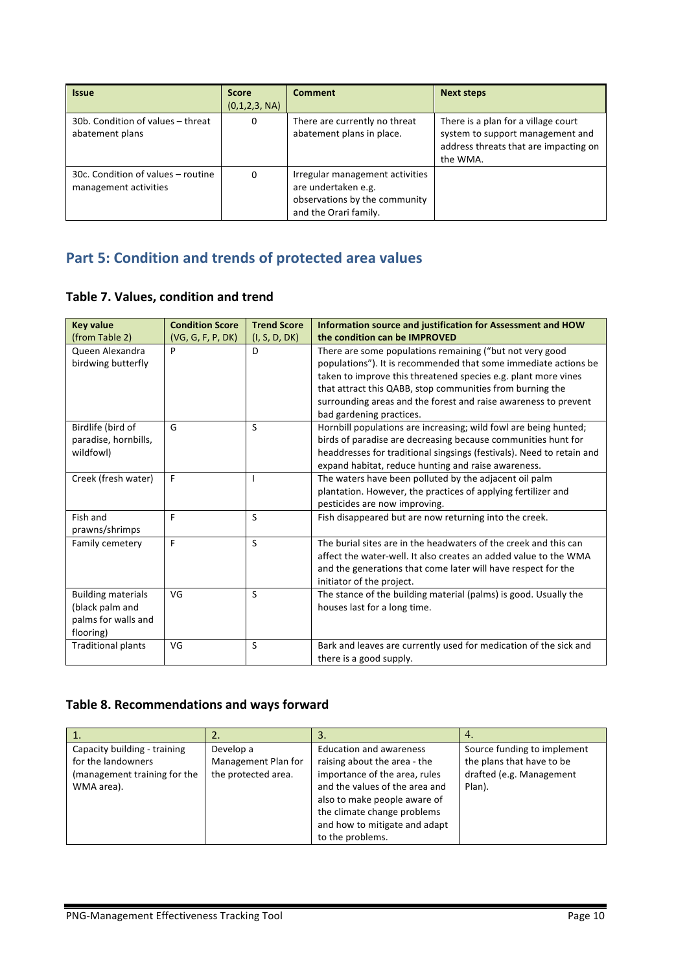| <b>Issue</b>                                                | <b>Score</b><br>(0,1,2,3, NA) | <b>Comment</b>                                                                                                   | <b>Next steps</b>                                                                                                            |
|-------------------------------------------------------------|-------------------------------|------------------------------------------------------------------------------------------------------------------|------------------------------------------------------------------------------------------------------------------------------|
| 30b. Condition of values - threat<br>abatement plans        | 0                             | There are currently no threat<br>abatement plans in place.                                                       | There is a plan for a village court<br>system to support management and<br>address threats that are impacting on<br>the WMA. |
| 30c. Condition of values - routine<br>management activities | 0                             | Irregular management activities<br>are undertaken e.g.<br>observations by the community<br>and the Orari family. |                                                                                                                              |

## **Part 5: Condition and trends of protected area values**

### **Table 7. Values, condition and trend**

| <b>Key value</b>          | <b>Condition Score</b> | <b>Trend Score</b> | Information source and justification for Assessment and HOW           |
|---------------------------|------------------------|--------------------|-----------------------------------------------------------------------|
| (from Table 2)            | (VG, G, F, P, DK)      | (I, S, D, DK)      | the condition can be IMPROVED                                         |
| Queen Alexandra           | P                      | D                  | There are some populations remaining ("but not very good              |
| birdwing butterfly        |                        |                    | populations"). It is recommended that some immediate actions be       |
|                           |                        |                    | taken to improve this threatened species e.g. plant more vines        |
|                           |                        |                    | that attract this QABB, stop communities from burning the             |
|                           |                        |                    | surrounding areas and the forest and raise awareness to prevent       |
|                           |                        |                    | bad gardening practices.                                              |
| Birdlife (bird of         | G                      | S                  | Hornbill populations are increasing; wild fowl are being hunted;      |
| paradise, hornbills,      |                        |                    | birds of paradise are decreasing because communities hunt for         |
| wildfowl)                 |                        |                    | headdresses for traditional singsings (festivals). Need to retain and |
|                           |                        |                    | expand habitat, reduce hunting and raise awareness.                   |
| Creek (fresh water)       | F                      |                    | The waters have been polluted by the adjacent oil palm                |
|                           |                        |                    | plantation. However, the practices of applying fertilizer and         |
|                           |                        |                    | pesticides are now improving.                                         |
| Fish and                  | F                      | S                  | Fish disappeared but are now returning into the creek.                |
| prawns/shrimps            |                        |                    |                                                                       |
| Family cemetery           | F                      | S                  | The burial sites are in the headwaters of the creek and this can      |
|                           |                        |                    | affect the water-well. It also creates an added value to the WMA      |
|                           |                        |                    | and the generations that come later will have respect for the         |
|                           |                        |                    | initiator of the project.                                             |
| <b>Building materials</b> | VG                     | S                  | The stance of the building material (palms) is good. Usually the      |
| (black palm and           |                        |                    | houses last for a long time.                                          |
| palms for walls and       |                        |                    |                                                                       |
| flooring)                 |                        |                    |                                                                       |
| <b>Traditional plants</b> | VG                     | S                  | Bark and leaves are currently used for medication of the sick and     |
|                           |                        |                    | there is a good supply.                                               |

### Table 8. Recommendations and ways forward

|                              |                     | 3.                             |                             |
|------------------------------|---------------------|--------------------------------|-----------------------------|
| Capacity building - training | Develop a           | <b>Education and awareness</b> | Source funding to implement |
| for the landowners           | Management Plan for | raising about the area - the   | the plans that have to be   |
| (management training for the | the protected area. | importance of the area, rules  | drafted (e.g. Management    |
| WMA area).                   |                     | and the values of the area and | Plan).                      |
|                              |                     | also to make people aware of   |                             |
|                              |                     | the climate change problems    |                             |
|                              |                     | and how to mitigate and adapt  |                             |
|                              |                     | to the problems.               |                             |